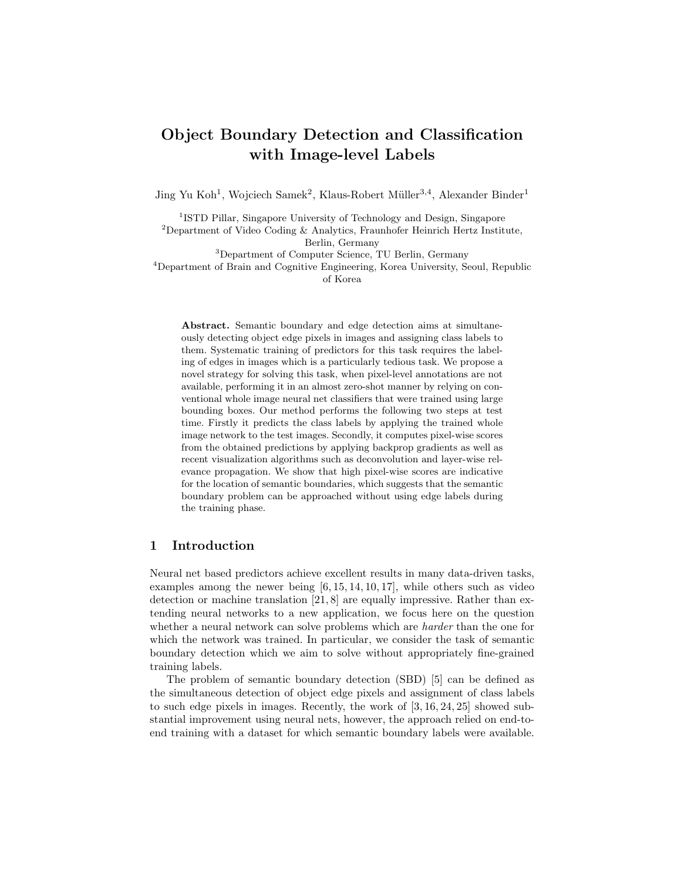# Object Boundary Detection and Classification with Image-level Labels

Jing Yu Koh<sup>1</sup>, Wojciech Samek<sup>2</sup>, Klaus-Robert Müller<sup>3,4</sup>, Alexander Binder<sup>1</sup>

<sup>1</sup>ISTD Pillar, Singapore University of Technology and Design, Singapore <sup>2</sup>Department of Video Coding & Analytics, Fraunhofer Heinrich Hertz Institute, Berlin, Germany

<sup>3</sup>Department of Computer Science, TU Berlin, Germany <sup>4</sup>Department of Brain and Cognitive Engineering, Korea University, Seoul, Republic

of Korea

Abstract. Semantic boundary and edge detection aims at simultaneously detecting object edge pixels in images and assigning class labels to them. Systematic training of predictors for this task requires the labeling of edges in images which is a particularly tedious task. We propose a novel strategy for solving this task, when pixel-level annotations are not available, performing it in an almost zero-shot manner by relying on conventional whole image neural net classifiers that were trained using large bounding boxes. Our method performs the following two steps at test time. Firstly it predicts the class labels by applying the trained whole image network to the test images. Secondly, it computes pixel-wise scores from the obtained predictions by applying backprop gradients as well as recent visualization algorithms such as deconvolution and layer-wise relevance propagation. We show that high pixel-wise scores are indicative for the location of semantic boundaries, which suggests that the semantic boundary problem can be approached without using edge labels during the training phase.

## 1 Introduction

Neural net based predictors achieve excellent results in many data-driven tasks, examples among the newer being  $[6, 15, 14, 10, 17]$ , while others such as video detection or machine translation [21, 8] are equally impressive. Rather than extending neural networks to a new application, we focus here on the question whether a neural network can solve problems which are *harder* than the one for which the network was trained. In particular, we consider the task of semantic boundary detection which we aim to solve without appropriately fine-grained training labels.

The problem of semantic boundary detection (SBD) [5] can be defined as the simultaneous detection of object edge pixels and assignment of class labels to such edge pixels in images. Recently, the work of [3, 16, 24, 25] showed substantial improvement using neural nets, however, the approach relied on end-toend training with a dataset for which semantic boundary labels were available.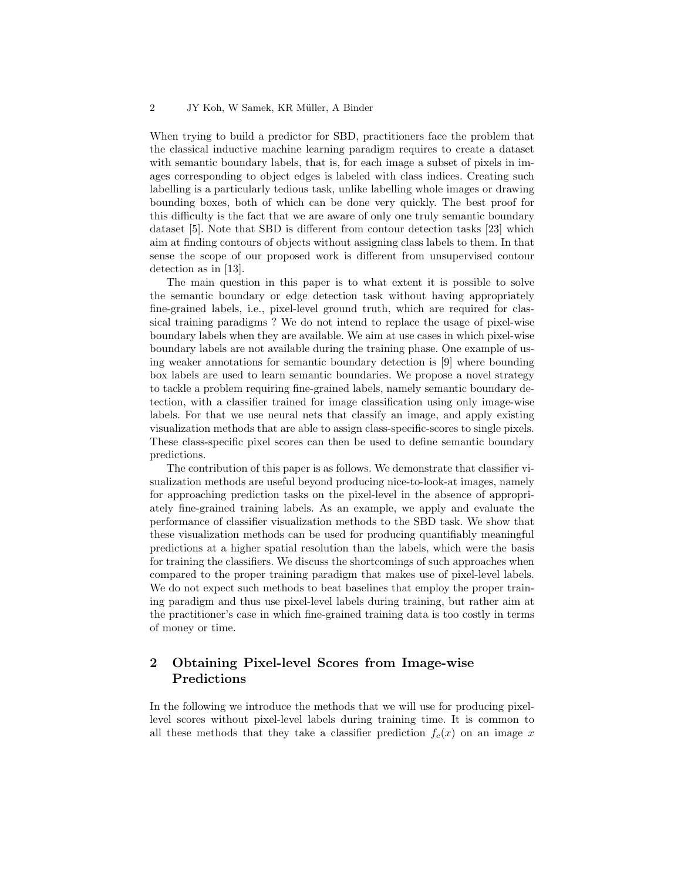When trying to build a predictor for SBD, practitioners face the problem that the classical inductive machine learning paradigm requires to create a dataset with semantic boundary labels, that is, for each image a subset of pixels in images corresponding to object edges is labeled with class indices. Creating such labelling is a particularly tedious task, unlike labelling whole images or drawing bounding boxes, both of which can be done very quickly. The best proof for this difficulty is the fact that we are aware of only one truly semantic boundary dataset [5]. Note that SBD is different from contour detection tasks [23] which aim at finding contours of objects without assigning class labels to them. In that sense the scope of our proposed work is different from unsupervised contour detection as in [13].

The main question in this paper is to what extent it is possible to solve the semantic boundary or edge detection task without having appropriately fine-grained labels, i.e., pixel-level ground truth, which are required for classical training paradigms ? We do not intend to replace the usage of pixel-wise boundary labels when they are available. We aim at use cases in which pixel-wise boundary labels are not available during the training phase. One example of using weaker annotations for semantic boundary detection is [9] where bounding box labels are used to learn semantic boundaries. We propose a novel strategy to tackle a problem requiring fine-grained labels, namely semantic boundary detection, with a classifier trained for image classification using only image-wise labels. For that we use neural nets that classify an image, and apply existing visualization methods that are able to assign class-specific-scores to single pixels. These class-specific pixel scores can then be used to define semantic boundary predictions.

The contribution of this paper is as follows. We demonstrate that classifier visualization methods are useful beyond producing nice-to-look-at images, namely for approaching prediction tasks on the pixel-level in the absence of appropriately fine-grained training labels. As an example, we apply and evaluate the performance of classifier visualization methods to the SBD task. We show that these visualization methods can be used for producing quantifiably meaningful predictions at a higher spatial resolution than the labels, which were the basis for training the classifiers. We discuss the shortcomings of such approaches when compared to the proper training paradigm that makes use of pixel-level labels. We do not expect such methods to beat baselines that employ the proper training paradigm and thus use pixel-level labels during training, but rather aim at the practitioner's case in which fine-grained training data is too costly in terms of money or time.

# 2 Obtaining Pixel-level Scores from Image-wise Predictions

In the following we introduce the methods that we will use for producing pixellevel scores without pixel-level labels during training time. It is common to all these methods that they take a classifier prediction  $f_c(x)$  on an image x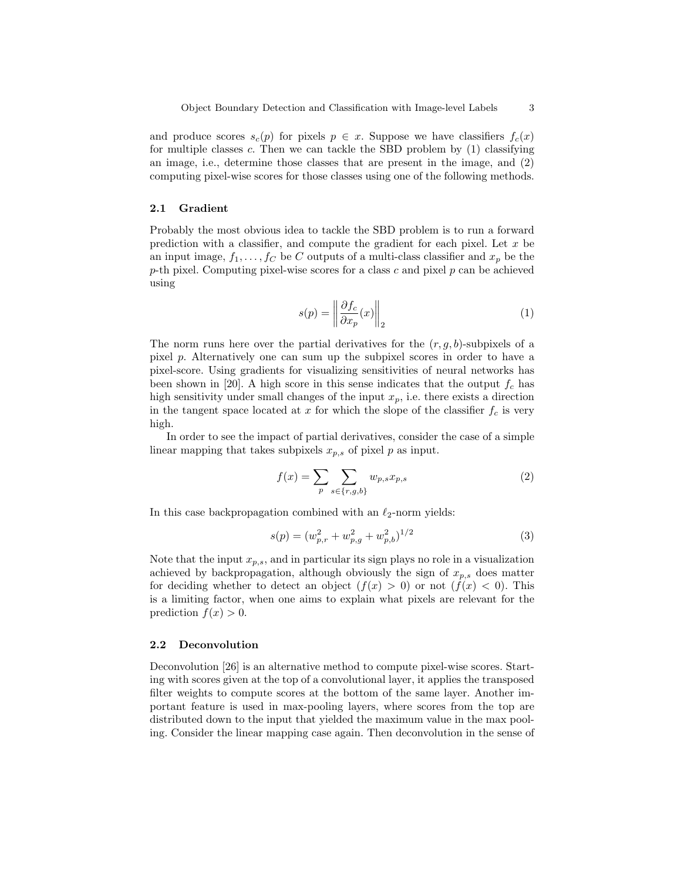and produce scores  $s_c(p)$  for pixels  $p \in x$ . Suppose we have classifiers  $f_c(x)$ for multiple classes  $c$ . Then we can tackle the SBD problem by  $(1)$  classifying an image, i.e., determine those classes that are present in the image, and (2) computing pixel-wise scores for those classes using one of the following methods.

#### 2.1 Gradient

Probably the most obvious idea to tackle the SBD problem is to run a forward prediction with a classifier, and compute the gradient for each pixel. Let  $x$  be an input image,  $f_1, \ldots, f_C$  be C outputs of a multi-class classifier and  $x_p$  be the p-th pixel. Computing pixel-wise scores for a class c and pixel  $p$  can be achieved using

$$
s(p) = \left\| \frac{\partial f_c}{\partial x_p}(x) \right\|_2 \tag{1}
$$

The norm runs here over the partial derivatives for the  $(r, g, b)$ -subpixels of a pixel p. Alternatively one can sum up the subpixel scores in order to have a pixel-score. Using gradients for visualizing sensitivities of neural networks has been shown in [20]. A high score in this sense indicates that the output  $f_c$  has high sensitivity under small changes of the input  $x_p$ , i.e. there exists a direction in the tangent space located at x for which the slope of the classifier  $f_c$  is very high.

In order to see the impact of partial derivatives, consider the case of a simple linear mapping that takes subpixels  $x_{p,s}$  of pixel p as input.

$$
f(x) = \sum_{p} \sum_{s \in \{r, g, b\}} w_{p,s} x_{p,s}
$$
 (2)

In this case backpropagation combined with an  $\ell_2$ -norm yields:

$$
s(p) = (w_{p,r}^2 + w_{p,g}^2 + w_{p,b}^2)^{1/2}
$$
\n(3)

Note that the input  $x_{p,s}$ , and in particular its sign plays no role in a visualization achieved by backpropagation, although obviously the sign of  $x_{p,s}$  does matter for deciding whether to detect an object  $(f(x) > 0)$  or not  $(f(x) < 0)$ . This is a limiting factor, when one aims to explain what pixels are relevant for the prediction  $f(x) > 0$ .

#### 2.2 Deconvolution

Deconvolution [26] is an alternative method to compute pixel-wise scores. Starting with scores given at the top of a convolutional layer, it applies the transposed filter weights to compute scores at the bottom of the same layer. Another important feature is used in max-pooling layers, where scores from the top are distributed down to the input that yielded the maximum value in the max pooling. Consider the linear mapping case again. Then deconvolution in the sense of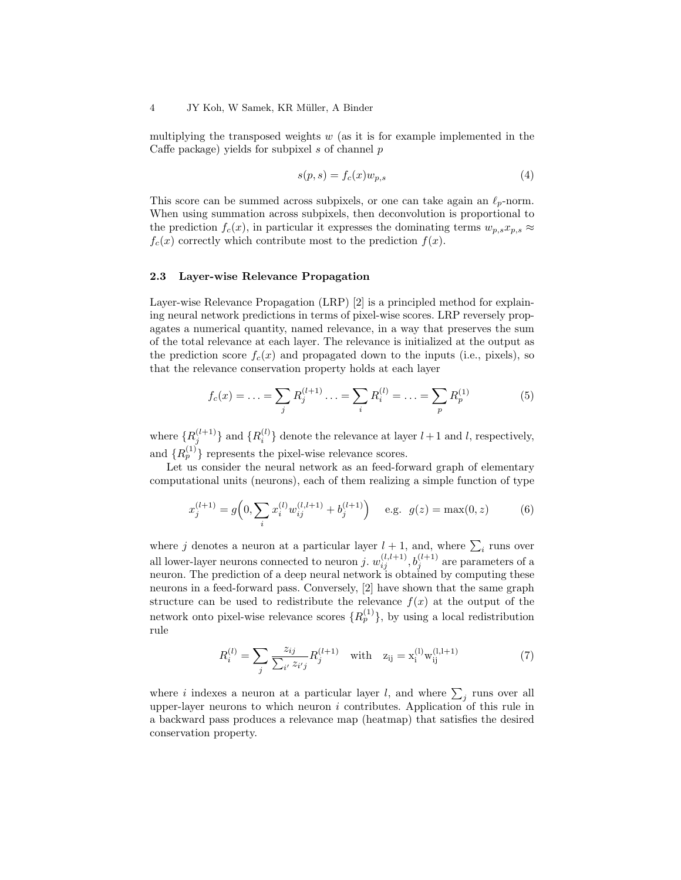multiplying the transposed weights  $w$  (as it is for example implemented in the Caffe package) yields for subpixel  $s$  of channel  $p$ 

$$
s(p,s) = f_c(x)w_{p,s}
$$
\n<sup>(4)</sup>

This score can be summed across subpixels, or one can take again an  $\ell_p$ -norm. When using summation across subpixels, then deconvolution is proportional to the prediction  $f_c(x)$ , in particular it expresses the dominating terms  $w_{p,s}x_{p,s} \approx$  $f_c(x)$  correctly which contribute most to the prediction  $f(x)$ .

### 2.3 Layer-wise Relevance Propagation

Layer-wise Relevance Propagation (LRP) [2] is a principled method for explaining neural network predictions in terms of pixel-wise scores. LRP reversely propagates a numerical quantity, named relevance, in a way that preserves the sum of the total relevance at each layer. The relevance is initialized at the output as the prediction score  $f_c(x)$  and propagated down to the inputs (i.e., pixels), so that the relevance conservation property holds at each layer

$$
f_c(x) = \ldots = \sum_j R_j^{(l+1)} \ldots = \sum_i R_i^{(l)} = \ldots = \sum_p R_p^{(1)} \tag{5}
$$

where  $\{R_j^{(l+1)}\}$  and  $\{R_i^{(l)}\}$  denote the relevance at layer  $l+1$  and l, respectively, and  $\{R_p^{(1)}\}$  represents the pixel-wise relevance scores.

Let us consider the neural network as an feed-forward graph of elementary computational units (neurons), each of them realizing a simple function of type

$$
x_j^{(l+1)} = g\left(0, \sum_i x_i^{(l)} w_{ij}^{(l,l+1)} + b_j^{(l+1)}\right) \quad \text{e.g.} \quad g(z) = \max(0, z) \tag{6}
$$

where j denotes a neuron at a particular layer  $l + 1$ , and, where  $\sum_i$  runs over all lower-layer neurons connected to neuron j.  $w_{ij}^{(l,l+1)}, b_j^{(l+1)}$  are parameters of a neuron. The prediction of a deep neural network is obtained by computing these neurons in a feed-forward pass. Conversely, [2] have shown that the same graph structure can be used to redistribute the relevance  $f(x)$  at the output of the network onto pixel-wise relevance scores  $\{R_p^{(1)}\}$ , by using a local redistribution rule

$$
R_i^{(l)} = \sum_j \frac{z_{ij}}{\sum_{i'} z_{i'j}} R_j^{(l+1)} \quad \text{with} \quad z_{ij} = x_i^{(l)} w_{ij}^{(l,l+1)} \tag{7}
$$

where i indexes a neuron at a particular layer l, and where  $\sum_j$  runs over all upper-layer neurons to which neuron  $i$  contributes. Application of this rule in a backward pass produces a relevance map (heatmap) that satisfies the desired conservation property.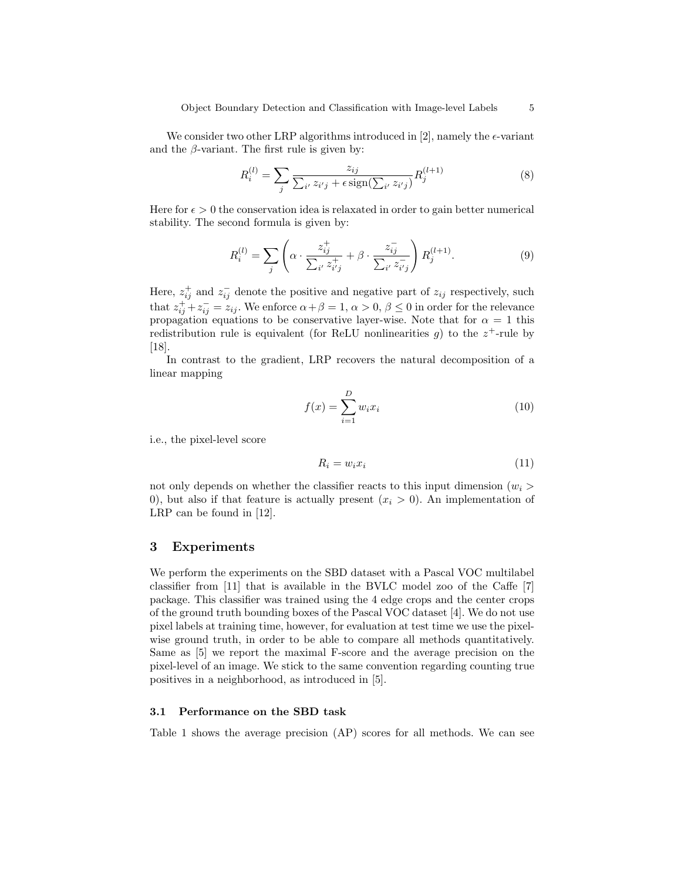We consider two other LRP algorithms introduced in [2], namely the  $\epsilon$ -variant and the  $\beta$ -variant. The first rule is given by:

$$
R_i^{(l)} = \sum_j \frac{z_{ij}}{\sum_{i'} z_{i'j} + \epsilon \operatorname{sign}(\sum_{i'} z_{i'j})} R_j^{(l+1)}
$$
(8)

Here for  $\epsilon > 0$  the conservation idea is relaxated in order to gain better numerical stability. The second formula is given by:

$$
R_i^{(l)} = \sum_j \left( \alpha \cdot \frac{z_{ij}^+}{\sum_{i'} z_{i'j}^+} + \beta \cdot \frac{z_{ij}^-}{\sum_{i'} z_{i'j}^-} \right) R_j^{(l+1)}.
$$
 (9)

Here,  $z_{ij}^+$  and  $z_{ij}^-$  denote the positive and negative part of  $z_{ij}$  respectively, such that  $z_{ij}^+ + z_{ij}^- = z_{ij}$ . We enforce  $\alpha + \beta = 1$ ,  $\alpha > 0$ ,  $\beta \le 0$  in order for the relevance propagation equations to be conservative layer-wise. Note that for  $\alpha = 1$  this redistribution rule is equivalent (for ReLU nonlinearities  $g$ ) to the  $z^+$ -rule by [18].

In contrast to the gradient, LRP recovers the natural decomposition of a linear mapping

$$
f(x) = \sum_{i=1}^{D} w_i x_i
$$
\n<sup>(10)</sup>

i.e., the pixel-level score

$$
R_i = w_i x_i \tag{11}
$$

not only depends on whether the classifier reacts to this input dimension ( $w_i >$ 0), but also if that feature is actually present  $(x<sub>i</sub> > 0)$ . An implementation of LRP can be found in [12].

## 3 Experiments

We perform the experiments on the SBD dataset with a Pascal VOC multilabel classifier from [11] that is available in the BVLC model zoo of the Caffe [7] package. This classifier was trained using the 4 edge crops and the center crops of the ground truth bounding boxes of the Pascal VOC dataset [4]. We do not use pixel labels at training time, however, for evaluation at test time we use the pixelwise ground truth, in order to be able to compare all methods quantitatively. Same as [5] we report the maximal F-score and the average precision on the pixel-level of an image. We stick to the same convention regarding counting true positives in a neighborhood, as introduced in [5].

#### 3.1 Performance on the SBD task

Table 1 shows the average precision (AP) scores for all methods. We can see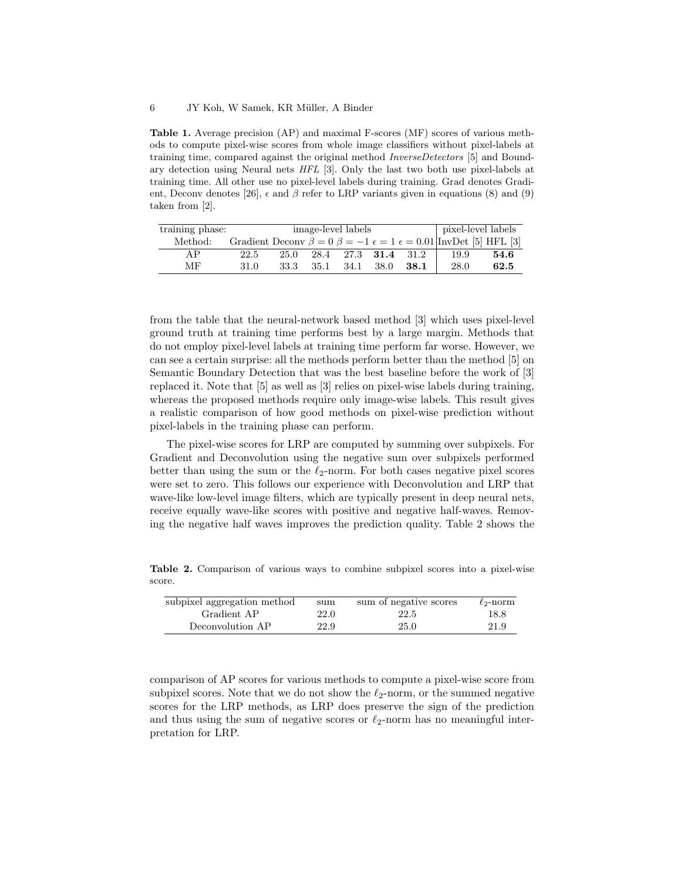Table 1. Average precision (AP) and maximal F-scores (MF) scores of various methods to compute pixel-wise scores from whole image classifiers without pixel-labels at training time, compared against the original method InverseDetectors [5] and Boundary detection using Neural nets HFL [3]. Only the last two both use pixel-labels at training time. All other use no pixel-level labels during training. Grad denotes Gradient, Deconv denotes [26],  $\epsilon$  and  $\beta$  refer to LRP variants given in equations (8) and (9) taken from [2].

| training phase: | image-level labels |      |      |                     |        |      | pixel-level labels                                                                           |      |
|-----------------|--------------------|------|------|---------------------|--------|------|----------------------------------------------------------------------------------------------|------|
| Method:         |                    |      |      |                     |        |      | Gradient Deconv $\beta = 0$ $\beta = -1$ $\epsilon = 1$ $\epsilon = 0.01$ InvDet [5] HFL [3] |      |
| AP              | 22.5               | 25.0 |      | 28.4 27.3 31.4 31.2 |        |      | 19.9                                                                                         | 54.6 |
| МF              | 31.0               | 33.3 | 35.1 | 34.1                | - 38.0 | 38.1 | 28.0                                                                                         | 62.5 |

from the table that the neural-network based method [3] which uses pixel-level ground truth at training time performs best by a large margin. Methods that do not employ pixel-level labels at training time perform far worse. However, we can see a certain surprise: all the methods perform better than the method [5] on Semantic Boundary Detection that was the best baseline before the work of [3] replaced it. Note that [5] as well as [3] relies on pixel-wise labels during training, whereas the proposed methods require only image-wise labels. This result gives a realistic comparison of how good methods on pixel-wise prediction without pixel-labels in the training phase can perform.

The pixel-wise scores for LRP are computed by summing over subpixels. For Gradient and Deconvolution using the negative sum over subpixels performed better than using the sum or the  $\ell_2$ -norm. For both cases negative pixel scores were set to zero. This follows our experience with Deconvolution and LRP that wave-like low-level image filters, which are typically present in deep neural nets, receive equally wave-like scores with positive and negative half-waves. Removing the negative half waves improves the prediction quality. Table 2 shows the

Table 2. Comparison of various ways to combine subpixel scores into a pixel-wise score.

| subpixel aggregation method | sum  | sum of negative scores | $\ell_2$ -norm |
|-----------------------------|------|------------------------|----------------|
| Gradient AP                 | 22.0 | 22.5                   | 18.8           |
| Deconvolution AP            | 22.9 | 25.0                   | 21.9           |

comparison of AP scores for various methods to compute a pixel-wise score from subpixel scores. Note that we do not show the  $\ell_2$ -norm, or the summed negative scores for the LRP methods, as LRP does preserve the sign of the prediction and thus using the sum of negative scores or  $\ell_2$ -norm has no meaningful interpretation for LRP.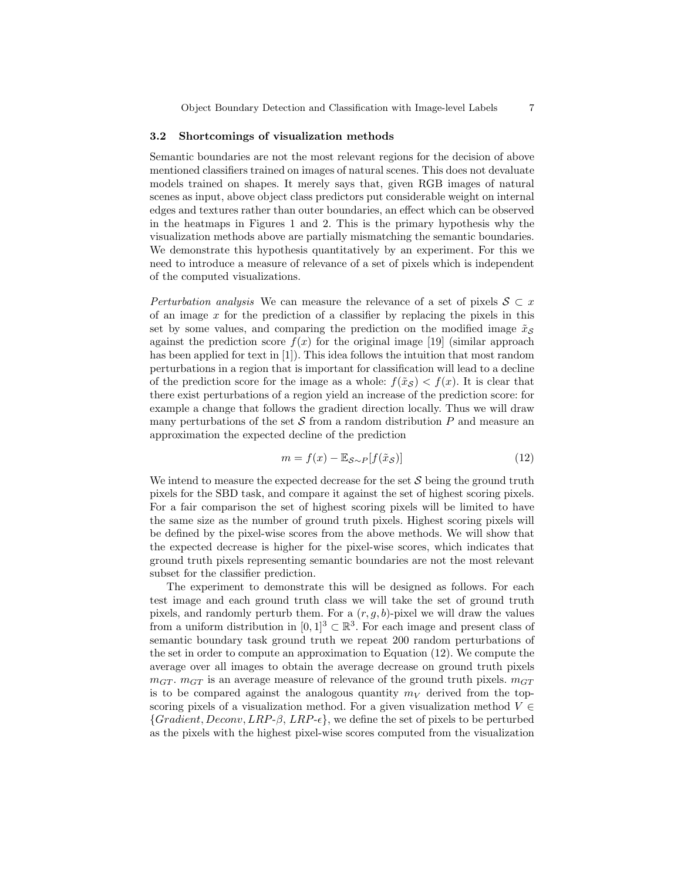#### 3.2 Shortcomings of visualization methods

Semantic boundaries are not the most relevant regions for the decision of above mentioned classifiers trained on images of natural scenes. This does not devaluate models trained on shapes. It merely says that, given RGB images of natural scenes as input, above object class predictors put considerable weight on internal edges and textures rather than outer boundaries, an effect which can be observed in the heatmaps in Figures 1 and 2. This is the primary hypothesis why the visualization methods above are partially mismatching the semantic boundaries. We demonstrate this hypothesis quantitatively by an experiment. For this we need to introduce a measure of relevance of a set of pixels which is independent of the computed visualizations.

Perturbation analysis We can measure the relevance of a set of pixels  $S \subset x$ of an image  $x$  for the prediction of a classifier by replacing the pixels in this set by some values, and comparing the prediction on the modified image  $\tilde{x}_{\mathcal{S}}$ against the prediction score  $f(x)$  for the original image [19] (similar approach has been applied for text in [1]). This idea follows the intuition that most random perturbations in a region that is important for classification will lead to a decline of the prediction score for the image as a whole:  $f(\tilde{x}_S) < f(x)$ . It is clear that there exist perturbations of a region yield an increase of the prediction score: for example a change that follows the gradient direction locally. Thus we will draw many perturbations of the set  $S$  from a random distribution  $P$  and measure an approximation the expected decline of the prediction

$$
m = f(x) - \mathbb{E}_{\mathcal{S} \sim P}[f(\tilde{x}_{\mathcal{S}})] \tag{12}
$$

We intend to measure the expected decrease for the set  $\mathcal S$  being the ground truth pixels for the SBD task, and compare it against the set of highest scoring pixels. For a fair comparison the set of highest scoring pixels will be limited to have the same size as the number of ground truth pixels. Highest scoring pixels will be defined by the pixel-wise scores from the above methods. We will show that the expected decrease is higher for the pixel-wise scores, which indicates that ground truth pixels representing semantic boundaries are not the most relevant subset for the classifier prediction.

The experiment to demonstrate this will be designed as follows. For each test image and each ground truth class we will take the set of ground truth pixels, and randomly perturb them. For a  $(r, g, b)$ -pixel we will draw the values from a uniform distribution in  $[0,1]^3 \subset \mathbb{R}^3$ . For each image and present class of semantic boundary task ground truth we repeat 200 random perturbations of the set in order to compute an approximation to Equation (12). We compute the average over all images to obtain the average decrease on ground truth pixels  $m_{GT}$ ,  $m_{GT}$  is an average measure of relevance of the ground truth pixels.  $m_{GT}$ is to be compared against the analogous quantity  $m<sub>V</sub>$  derived from the topscoring pixels of a visualization method. For a given visualization method  $V \in$  ${Gradient, Decomv, LRP-\beta, LRP-\epsilon}$ , we define the set of pixels to be perturbed as the pixels with the highest pixel-wise scores computed from the visualization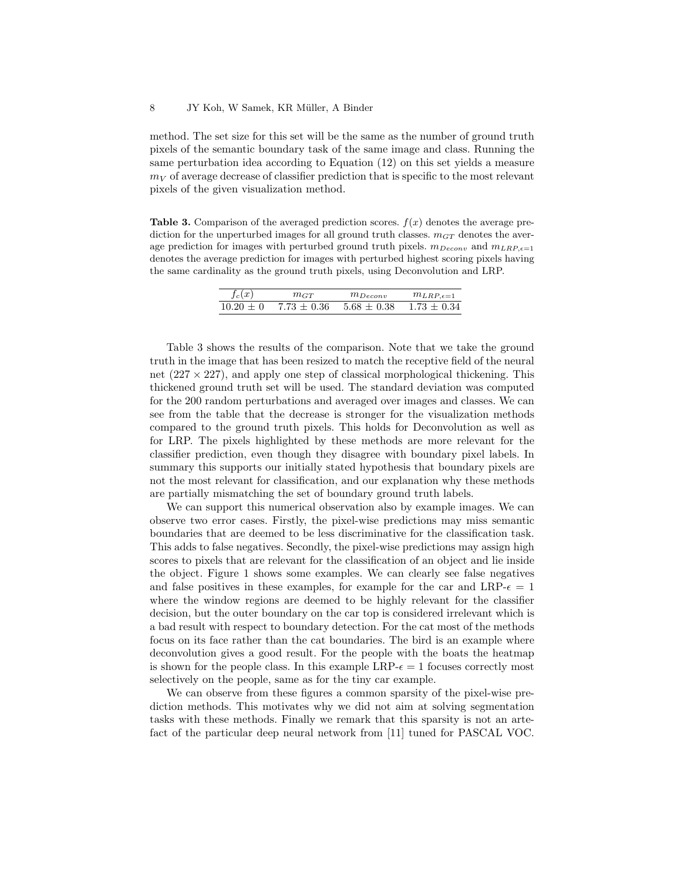method. The set size for this set will be the same as the number of ground truth pixels of the semantic boundary task of the same image and class. Running the same perturbation idea according to Equation (12) on this set yields a measure  $m<sub>V</sub>$  of average decrease of classifier prediction that is specific to the most relevant pixels of the given visualization method.

**Table 3.** Comparison of the averaged prediction scores.  $f(x)$  denotes the average prediction for the unperturbed images for all ground truth classes.  $m_{GT}$  denotes the average prediction for images with perturbed ground truth pixels.  $m_{Deconv}$  and  $m_{LRP,\epsilon=1}$ denotes the average prediction for images with perturbed highest scoring pixels having the same cardinality as the ground truth pixels, using Deconvolution and LRP.

| $f_c(x)$    | $m_{GT}$      | $m_{Deconv}$  | $m_{LRP,\epsilon=1}$ |  |
|-------------|---------------|---------------|----------------------|--|
| $10.20 + 0$ | $7.73 + 0.36$ | $5.68 + 0.38$ | $1.73 + 0.34$        |  |

Table 3 shows the results of the comparison. Note that we take the ground truth in the image that has been resized to match the receptive field of the neural net  $(227 \times 227)$ , and apply one step of classical morphological thickening. This thickened ground truth set will be used. The standard deviation was computed for the 200 random perturbations and averaged over images and classes. We can see from the table that the decrease is stronger for the visualization methods compared to the ground truth pixels. This holds for Deconvolution as well as for LRP. The pixels highlighted by these methods are more relevant for the classifier prediction, even though they disagree with boundary pixel labels. In summary this supports our initially stated hypothesis that boundary pixels are not the most relevant for classification, and our explanation why these methods are partially mismatching the set of boundary ground truth labels.

We can support this numerical observation also by example images. We can observe two error cases. Firstly, the pixel-wise predictions may miss semantic boundaries that are deemed to be less discriminative for the classification task. This adds to false negatives. Secondly, the pixel-wise predictions may assign high scores to pixels that are relevant for the classification of an object and lie inside the object. Figure 1 shows some examples. We can clearly see false negatives and false positives in these examples, for example for the car and LRP- $\epsilon = 1$ where the window regions are deemed to be highly relevant for the classifier decision, but the outer boundary on the car top is considered irrelevant which is a bad result with respect to boundary detection. For the cat most of the methods focus on its face rather than the cat boundaries. The bird is an example where deconvolution gives a good result. For the people with the boats the heatmap is shown for the people class. In this example LRP- $\epsilon = 1$  focuses correctly most selectively on the people, same as for the tiny car example.

We can observe from these figures a common sparsity of the pixel-wise prediction methods. This motivates why we did not aim at solving segmentation tasks with these methods. Finally we remark that this sparsity is not an artefact of the particular deep neural network from [11] tuned for PASCAL VOC.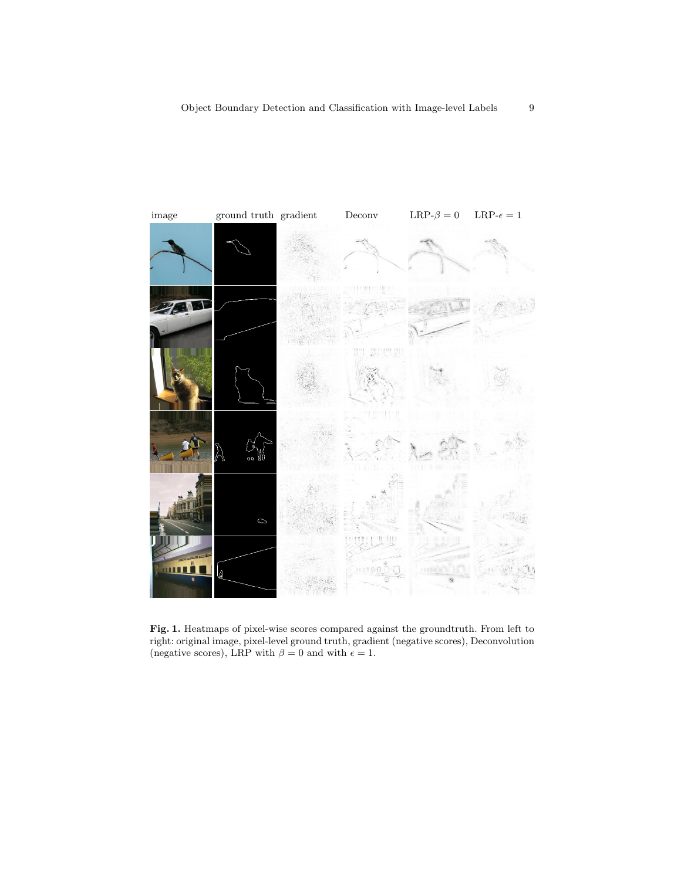

Fig. 1. Heatmaps of pixel-wise scores compared against the groundtruth. From left to right: original image, pixel-level ground truth, gradient (negative scores), Deconvolution (negative scores), LRP with  $\beta = 0$  and with  $\epsilon = 1$ .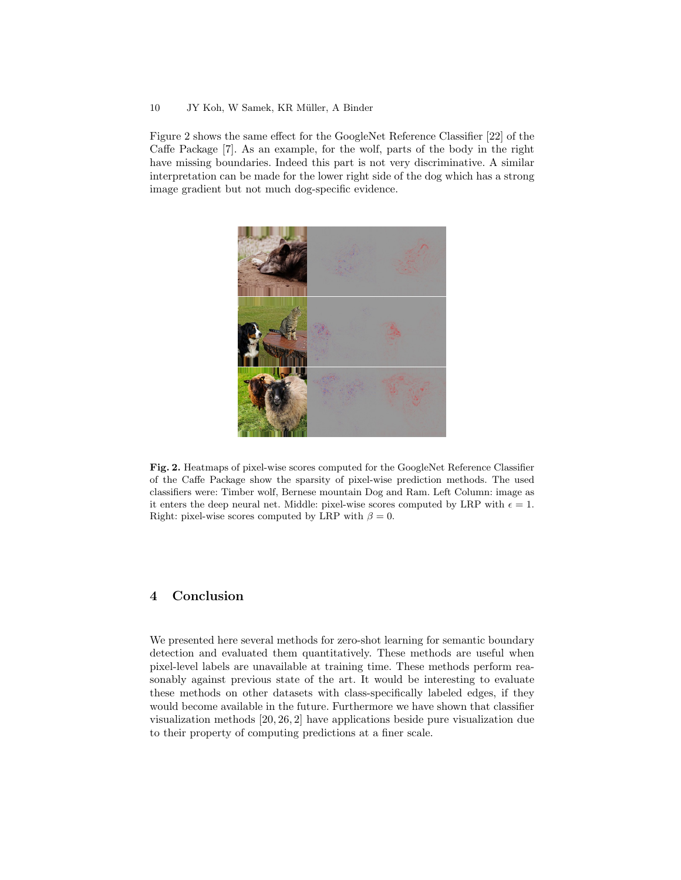#### 10 JY Koh, W Samek, KR Müller, A Binder

Figure 2 shows the same effect for the GoogleNet Reference Classifier [22] of the Caffe Package [7]. As an example, for the wolf, parts of the body in the right have missing boundaries. Indeed this part is not very discriminative. A similar interpretation can be made for the lower right side of the dog which has a strong image gradient but not much dog-specific evidence.



Fig. 2. Heatmaps of pixel-wise scores computed for the GoogleNet Reference Classifier of the Caffe Package show the sparsity of pixel-wise prediction methods. The used classifiers were: Timber wolf, Bernese mountain Dog and Ram. Left Column: image as it enters the deep neural net. Middle: pixel-wise scores computed by LRP with  $\epsilon = 1$ . Right: pixel-wise scores computed by LRP with  $\beta = 0$ .

## 4 Conclusion

We presented here several methods for zero-shot learning for semantic boundary detection and evaluated them quantitatively. These methods are useful when pixel-level labels are unavailable at training time. These methods perform reasonably against previous state of the art. It would be interesting to evaluate these methods on other datasets with class-specifically labeled edges, if they would become available in the future. Furthermore we have shown that classifier visualization methods [20, 26, 2] have applications beside pure visualization due to their property of computing predictions at a finer scale.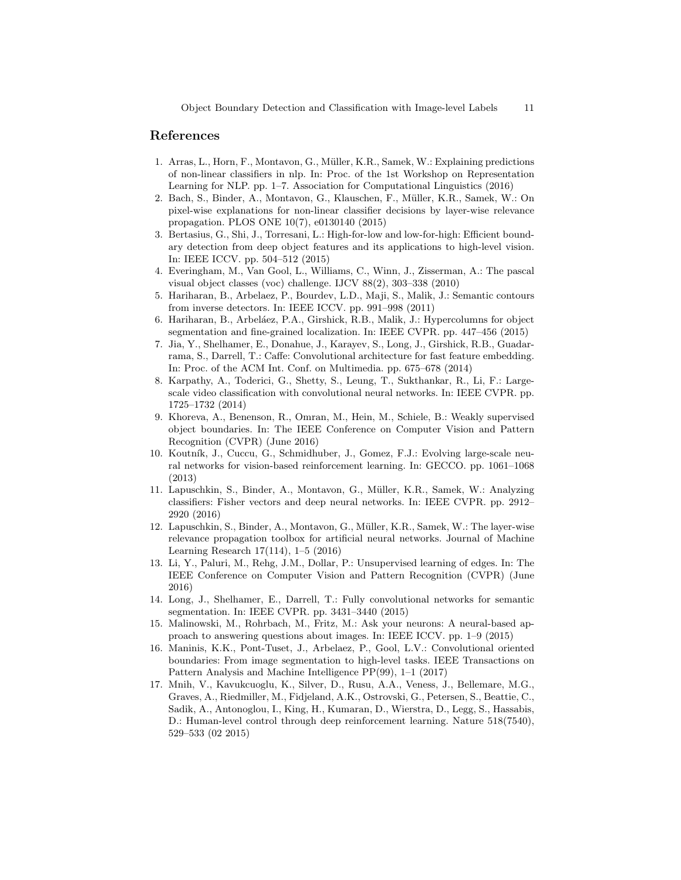## References

- 1. Arras, L., Horn, F., Montavon, G., Müller, K.R., Samek, W.: Explaining predictions of non-linear classifiers in nlp. In: Proc. of the 1st Workshop on Representation Learning for NLP. pp. 1–7. Association for Computational Linguistics (2016)
- 2. Bach, S., Binder, A., Montavon, G., Klauschen, F., M¨uller, K.R., Samek, W.: On pixel-wise explanations for non-linear classifier decisions by layer-wise relevance propagation. PLOS ONE 10(7), e0130140 (2015)
- 3. Bertasius, G., Shi, J., Torresani, L.: High-for-low and low-for-high: Efficient boundary detection from deep object features and its applications to high-level vision. In: IEEE ICCV. pp. 504–512 (2015)
- 4. Everingham, M., Van Gool, L., Williams, C., Winn, J., Zisserman, A.: The pascal visual object classes (voc) challenge. IJCV 88(2), 303–338 (2010)
- 5. Hariharan, B., Arbelaez, P., Bourdev, L.D., Maji, S., Malik, J.: Semantic contours from inverse detectors. In: IEEE ICCV. pp. 991–998 (2011)
- 6. Hariharan, B., Arbeláez, P.A., Girshick, R.B., Malik, J.: Hypercolumns for object segmentation and fine-grained localization. In: IEEE CVPR. pp. 447–456 (2015)
- 7. Jia, Y., Shelhamer, E., Donahue, J., Karayev, S., Long, J., Girshick, R.B., Guadarrama, S., Darrell, T.: Caffe: Convolutional architecture for fast feature embedding. In: Proc. of the ACM Int. Conf. on Multimedia. pp. 675–678 (2014)
- 8. Karpathy, A., Toderici, G., Shetty, S., Leung, T., Sukthankar, R., Li, F.: Largescale video classification with convolutional neural networks. In: IEEE CVPR. pp. 1725–1732 (2014)
- 9. Khoreva, A., Benenson, R., Omran, M., Hein, M., Schiele, B.: Weakly supervised object boundaries. In: The IEEE Conference on Computer Vision and Pattern Recognition (CVPR) (June 2016)
- 10. Koutník, J., Cuccu, G., Schmidhuber, J., Gomez, F.J.: Evolving large-scale neural networks for vision-based reinforcement learning. In: GECCO. pp. 1061–1068 (2013)
- 11. Lapuschkin, S., Binder, A., Montavon, G., M¨uller, K.R., Samek, W.: Analyzing classifiers: Fisher vectors and deep neural networks. In: IEEE CVPR. pp. 2912– 2920 (2016)
- 12. Lapuschkin, S., Binder, A., Montavon, G., M¨uller, K.R., Samek, W.: The layer-wise relevance propagation toolbox for artificial neural networks. Journal of Machine Learning Research 17(114), 1–5 (2016)
- 13. Li, Y., Paluri, M., Rehg, J.M., Dollar, P.: Unsupervised learning of edges. In: The IEEE Conference on Computer Vision and Pattern Recognition (CVPR) (June 2016)
- 14. Long, J., Shelhamer, E., Darrell, T.: Fully convolutional networks for semantic segmentation. In: IEEE CVPR. pp. 3431–3440 (2015)
- 15. Malinowski, M., Rohrbach, M., Fritz, M.: Ask your neurons: A neural-based approach to answering questions about images. In: IEEE ICCV. pp. 1–9 (2015)
- 16. Maninis, K.K., Pont-Tuset, J., Arbelaez, P., Gool, L.V.: Convolutional oriented boundaries: From image segmentation to high-level tasks. IEEE Transactions on Pattern Analysis and Machine Intelligence PP(99), 1–1 (2017)
- 17. Mnih, V., Kavukcuoglu, K., Silver, D., Rusu, A.A., Veness, J., Bellemare, M.G., Graves, A., Riedmiller, M., Fidjeland, A.K., Ostrovski, G., Petersen, S., Beattie, C., Sadik, A., Antonoglou, I., King, H., Kumaran, D., Wierstra, D., Legg, S., Hassabis, D.: Human-level control through deep reinforcement learning. Nature 518(7540), 529–533 (02 2015)